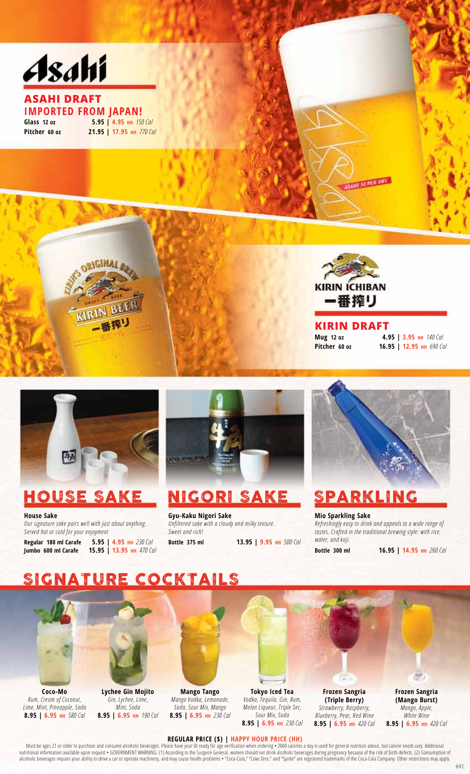

#### **AsAhi DrAft IMporTed FroM Japan! Glass 12 oz 5.95 | 4.95 HH** *150 Cal*  **pitcher 60 oz 21.95 | 17.95 HH** *770 Cal*

**ORIGINAL &** 



#### **Kirin DrAft**

**HESUPER DRY** 

**Mug 12 oz 4.95 | 3.95 HH** *140 Cal*  **pitcher 60 oz 16.95 | 12.95 HH** *690 Cal* 



**Jumbo 600 ml Carafe 15.95 | 13.95 HH** 470 Cal **b Call <b>Example 200 Bottle 300 ml 16.95 | 14.95 HH** 260 Cal



# HouSe Sake nigori Sake Sparkling

**House Sake Mio Sparkling Sake Sake Sake Syu-Kaku Nigori Sake Mio Sparkling Sake Mio Sparkling Sake All of the Sparkling Sake of the Sparkling Sake of the Sparkling Sake of the Sparkling Sake of the Sparkling Sake of the S** 

 *water, and koji.* **regular 180 ml Carafe 5.95 | 4.95 HH** *230 Cal* **Bottle 375 ml 13.95 | 9.95 HH** *500 Cal* 



*Our signature sake pairs well with just about anything. Unfiltered sake with a cloudy and milky texture. Refreshingly easy to drink and appeals to a wide range of Served hot or cold for your enjoyment Sweet and rich! tastes. Crafted in the traditional brewing style: with rice,* 

# SIGNATURE COCKTAILS



**Coco-Mo** Lychee Gin Mojito Mango Tango Tokyo Iced Tea Frozen Sangria Frozen Sangria<br>Rum, Cream of Coconut, Gin, Lychee, Lime, Mango Vodka, Lemonade, Vodka, Tequila, Gin, Rum, (Triple Berry) (Mango Burst) *Rum, Cream of Coconut, Gin, Lychee, Lime, Mango Vodka, Lemonade, Vodka, Tequila, Gin, Rum,* **(Triple Berry) (Mango Burst)**



*Lime, Mint, Pineapple, Soda Mint, Soda Soda, Sour Mix, Mango Melon Liqueur, Triple Sec, Strawberry, Raspberry, Mango, Apple,* **8.95 | 6.95 HH** 190 Cal **8.95 | 6.95 HH** 230 Cal Sour Mix, Soda Sour Mix, Soda Cal **8.95 | 6.95 HH** 230 Cal

**8.95 | 6.95 HH** *230 Cal* **8.95 | 6.95 HH** *420 Cal* **8.95 | 6.95 HH** *420 Cal* 

#### **reGULar prICe (\$) | HappY HoUr prICe (HH)**

Must be ages 21 or older to purchase and consume alcoholic beverages. Please have your ID ready for age verification when ordering • 2000 calories a day is used for general nutrition advice, but calorie needs vary. Additio nutritional information available upon request • GOVERNMENT WARNING: (1) According to the Surgeon General, women should not drink alcoholic beverages during pregnancy because of the risk of birth defects. (2) Consumption of alcoholic beverages impairs your ability to drive a car or operate machinery, and may cause health problems • "Coca-Cola," "Coke Zero," and "Sprite" are registered trademarks of the Coca-Cola Company. Other restrictions ma